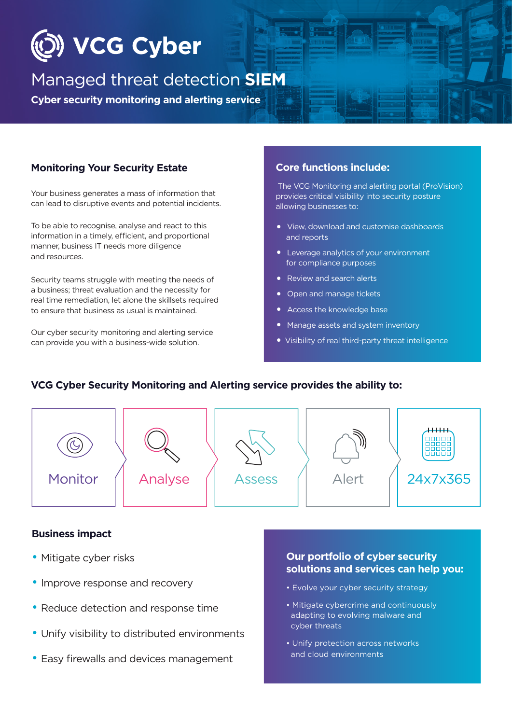

# Managed threat detection **SIEM**

**Cyber security monitoring and alerting service** 

### **Monitoring Your Security Estate**

Your business generates a mass of information that can lead to disruptive events and potential incidents.

To be able to recognise, analyse and react to this information in a timely, efficient, and proportional manner, business IT needs more diligence and resources.

Security teams struggle with meeting the needs of a business; threat evaluation and the necessity for real time remediation, let alone the skillsets required to ensure that business as usual is maintained.

Our cyber security monitoring and alerting service can provide you with a business-wide solution.

#### **Core functions include:**

 The VCG Monitoring and alerting portal (ProVision) provides critical visibility into security posture allowing businesses to:

- View, download and customise dashboards and reports
- Leverage analytics of your environment for compliance purposes
- Review and search alerts
- Open and manage tickets
- Access the knowledge base
- Manage assets and system inventory
- Visibility of real third-party threat intelligence

# **VCG Cyber Security Monitoring and Alerting service provides the ability to:**  $***$ Monitor Monitor  $\begin{pmatrix} 1 & \text{Analyse} \\ 0 & \text{Assess} \\ 0 & 1 \end{pmatrix}$  Alert  $\begin{pmatrix} 24x7x365 \\ 0 & 24x7x365 \end{pmatrix}$ vendor support

#### **Business impact**

- Mitigate cyber risks
- Improve response and recovery
- Reduce detection and response time
- Unify visibility to distributed environments
- Easy firewalls and devices management

#### **Our portfolio of cyber security solutions and services can help you:**

- Evolve your cyber security strategy
- Mitigate cybercrime and continuously adapting to evolving malware and cyber threats
- Unify protection across networks and cloud environments